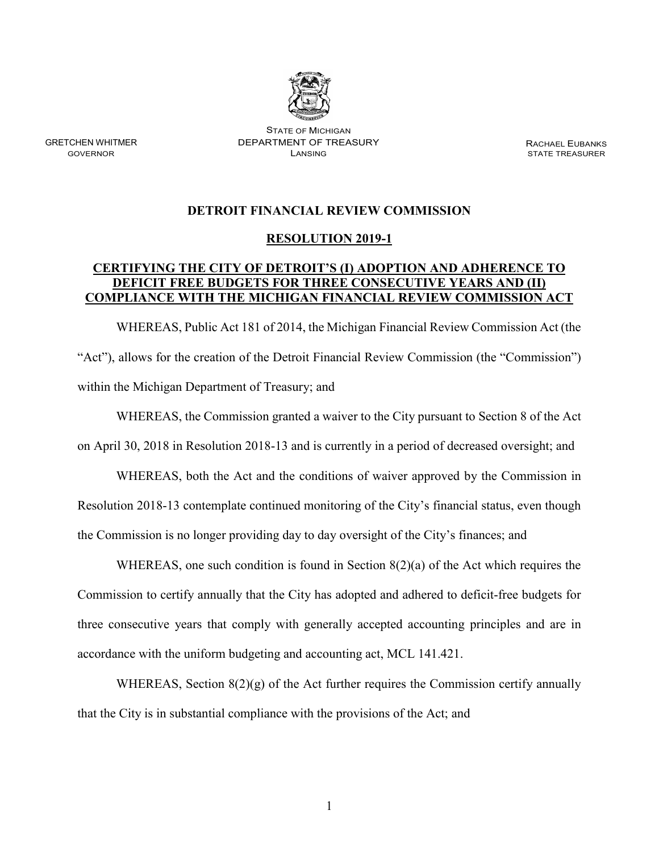

STATE OF MICHIGAN GRETCHEN WHITMER DEPARTMENT OF TREASURY RACHAEL EUBANKS

**STATE TREASURER** 

## **DETROIT FINANCIAL REVIEW COMMISSION**

## **RESOLUTION 2019-1**

## **CERTIFYING THE CITY OF DETROIT'S (I) ADOPTION AND ADHERENCE TO DEFICIT FREE BUDGETS FOR THREE CONSECUTIVE YEARS AND (II) COMPLIANCE WITH THE MICHIGAN FINANCIAL REVIEW COMMISSION ACT**

WHEREAS, Public Act 181 of 2014, the Michigan Financial Review Commission Act (the "Act"), allows for the creation of the Detroit Financial Review Commission (the "Commission") within the Michigan Department of Treasury; and

WHEREAS, the Commission granted a waiver to the City pursuant to Section 8 of the Act on April 30, 2018 in Resolution 2018-13 and is currently in a period of decreased oversight; and

WHEREAS, both the Act and the conditions of waiver approved by the Commission in Resolution 2018-13 contemplate continued monitoring of the City's financial status, even though the Commission is no longer providing day to day oversight of the City's finances; and

WHEREAS, one such condition is found in Section 8(2)(a) of the Act which requires the Commission to certify annually that the City has adopted and adhered to deficit-free budgets for three consecutive years that comply with generally accepted accounting principles and are in accordance with the uniform budgeting and accounting act, MCL 141.421.

WHEREAS, Section  $8(2)(g)$  of the Act further requires the Commission certify annually that the City is in substantial compliance with the provisions of the Act; and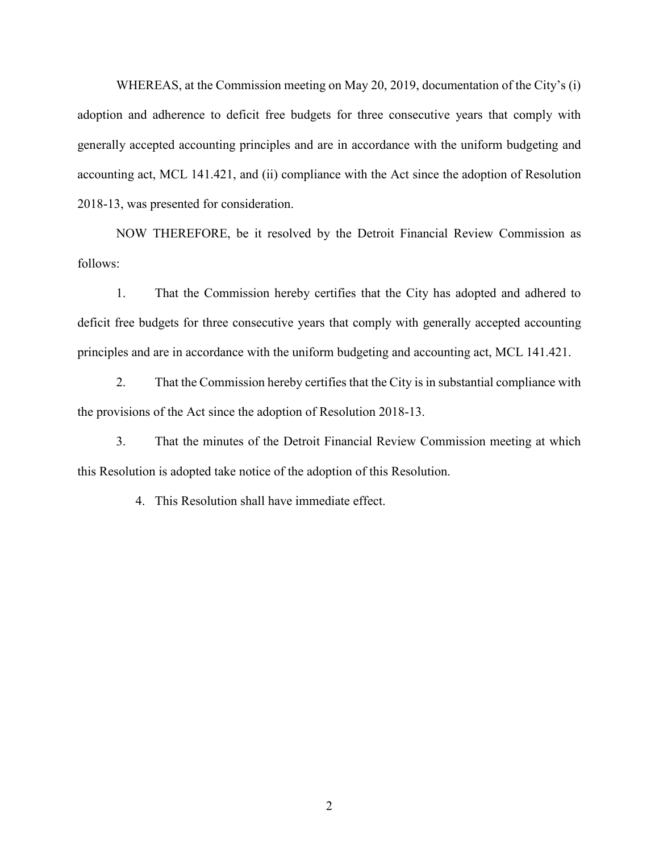WHEREAS, at the Commission meeting on May 20, 2019, documentation of the City's (i) adoption and adherence to deficit free budgets for three consecutive years that comply with generally accepted accounting principles and are in accordance with the uniform budgeting and accounting act, MCL 141.421, and (ii) compliance with the Act since the adoption of Resolution 2018-13, was presented for consideration.

NOW THEREFORE, be it resolved by the Detroit Financial Review Commission as follows:

1. That the Commission hereby certifies that the City has adopted and adhered to deficit free budgets for three consecutive years that comply with generally accepted accounting principles and are in accordance with the uniform budgeting and accounting act, MCL 141.421.

2. That the Commission hereby certifies that the City is in substantial compliance with the provisions of the Act since the adoption of Resolution 2018-13.

3. That the minutes of the Detroit Financial Review Commission meeting at which this Resolution is adopted take notice of the adoption of this Resolution.

4. This Resolution shall have immediate effect.

2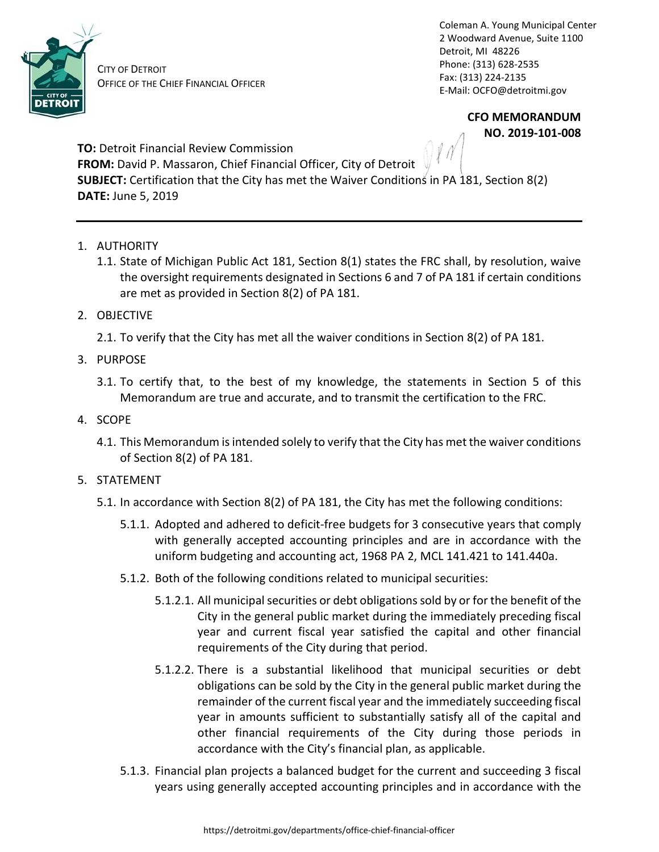

Phone: (313) 628-2535 CITY OF DETROIT

Coleman A. Young Municipal Center 2 Woodward Avenue, Suite 1100 Detroit, MI 48226 Fax: (313) 224-2135 OFFICE OF THE CHIEF FINANCIAL OFFICER E-Mail: [OCFO@detroitmi.gov](mailto:OCFO@detroitmi.gov) 

> **CFO MEMORANDUM NO. 2019-101-008**

 $\bigcap$   $\ell$   $\Lambda$ **TO:** Detroit Financial Review Commission **FROM:** David P. Massaron, Chief Financial Officer, City of Detroit **SUBJECT:** Certification that the City has met the Waiver Conditions in PA 181, Section 8(2) **DATE:** June 5, 2019

- 1. AUTHORITY
	- 1.1. State of Michigan Public Act 181, Section 8(1) states the FRC shall, by resolution, waive the oversight requirements designated in Sections 6 and 7 of PA 181 if certain conditions are met as provided in Section 8(2) of PA 181.
- 2. OBJECTIVE
	- 2.1. To verify that the City has met all the waiver conditions in Section 8(2) of PA 181.
- 3. PURPOSE
	- 3.1. To certify that, to the best of my knowledge, the statements in Section 5 of this Memorandum are true and accurate, and to transmit the certification to the FRC.
- 4. SCOPE
	- 4.1. This Memorandum is intended solely to verify that the City has met the waiver conditions of Section 8(2) of PA 181.
- 5. STATEMENT
	- 5.1. In accordance with Section 8(2) of PA 181, the City has met the following conditions:
		- 5.1.1. Adopted and adhered to deficit-free budgets for 3 consecutive years that comply with generally accepted accounting principles and are in accordance with the uniform budgeting and accounting act, 1968 PA 2, MCL 141.421 to 141.440a.
		- 5.1.2. Both of the following conditions related to municipal securities:
			- 5.1.2.1. All municipal securities or debt obligations sold by or for the benefit of the City in the general public market during the immediately preceding fiscal year and current fiscal year satisfied the capital and other financial requirements of the City during that period.
			- 5.1.2.2. There is a substantial likelihood that municipal securities or debt obligations can be sold by the City in the general public market during the remainder of the current fiscal year and the immediately succeeding fiscal year in amounts sufficient to substantially satisfy all of the capital and other financial requirements of the City during those periods in accordance with the City's financial plan, as applicable.
		- 5.1.3. Financial plan projects a balanced budget for the current and succeeding 3 fiscal years using generally accepted accounting principles and in accordance with the